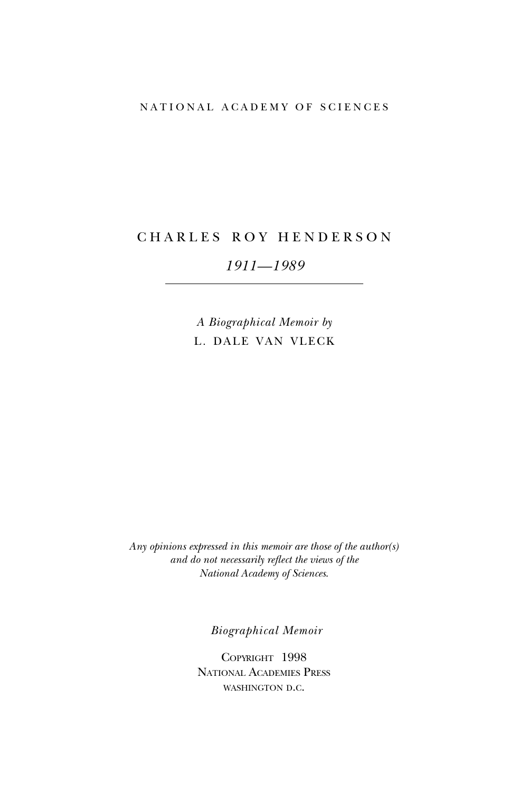### NATIONAL ACADEMY OF SCIENCES

# CHARLES ROY HENDERSON

# *1911—1989*

*A Biographical Memoir by* L. DALE VAN VLECK

*Any opinions expressed in this memoir are those of the author(s) and do not necessarily reflect the views of the National Academy of Sciences*.

*Biographical Memoir*

Copyright 1998 National Academies Press WASHINGTON D.C.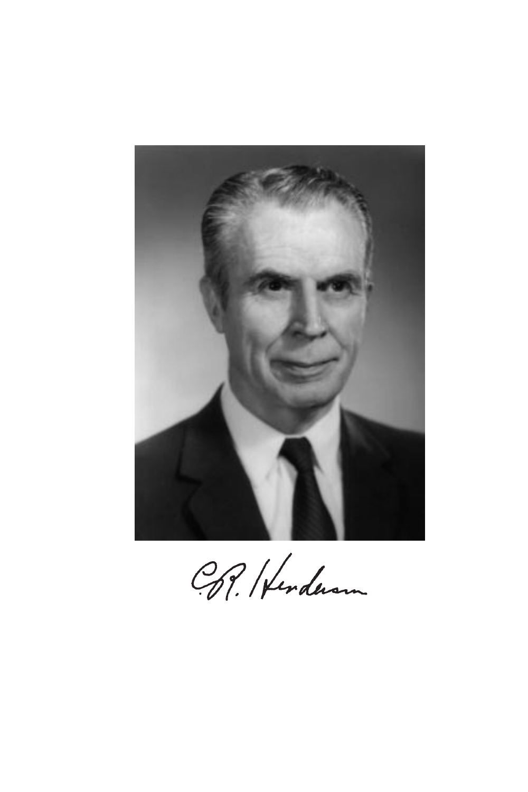

CP. Herderson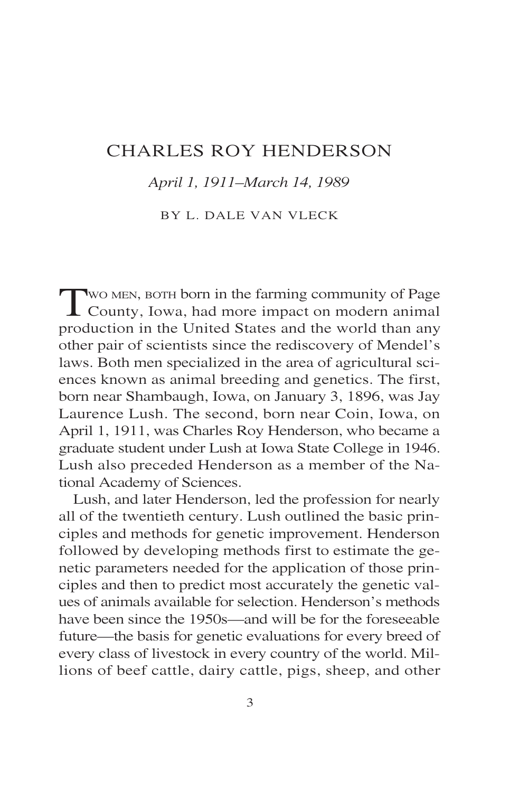# CHARLES ROY HENDERSON

## *April 1, 1911–March 14, 1989*

## BY L. DALE VAN VLECK

TWO MEN, BOTH born in the farming community of Page<br>County, Iowa, had more impact on modern animal production in the United States and the world than any other pair of scientists since the rediscovery of Mendel's laws. Both men specialized in the area of agricultural sciences known as animal breeding and genetics. The first, born near Shambaugh, Iowa, on January 3, 1896, was Jay Laurence Lush. The second, born near Coin, Iowa, on April 1, 1911, was Charles Roy Henderson, who became a graduate student under Lush at Iowa State College in 1946. Lush also preceded Henderson as a member of the National Academy of Sciences.

Lush, and later Henderson, led the profession for nearly all of the twentieth century. Lush outlined the basic principles and methods for genetic improvement. Henderson followed by developing methods first to estimate the genetic parameters needed for the application of those principles and then to predict most accurately the genetic values of animals available for selection. Henderson's methods have been since the 1950s—and will be for the foreseeable future—the basis for genetic evaluations for every breed of every class of livestock in every country of the world. Millions of beef cattle, dairy cattle, pigs, sheep, and other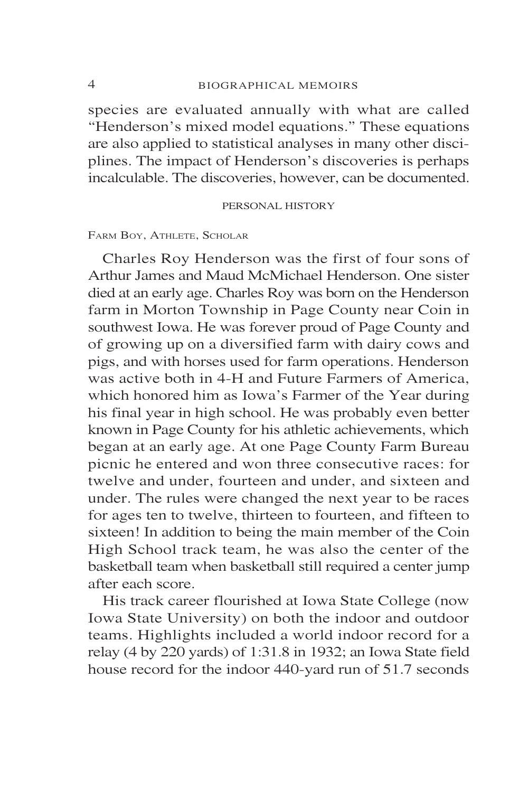species are evaluated annually with what are called "Henderson's mixed model equations." These equations are also applied to statistical analyses in many other disciplines. The impact of Henderson's discoveries is perhaps incalculable. The discoveries, however, can be documented.

### PERSONAL HISTORY

### FARM BOY, ATHLETE, SCHOLAR

Charles Roy Henderson was the first of four sons of Arthur James and Maud McMichael Henderson. One sister died at an early age. Charles Roy was born on the Henderson farm in Morton Township in Page County near Coin in southwest Iowa. He was forever proud of Page County and of growing up on a diversified farm with dairy cows and pigs, and with horses used for farm operations. Henderson was active both in 4-H and Future Farmers of America, which honored him as Iowa's Farmer of the Year during his final year in high school. He was probably even better known in Page County for his athletic achievements, which began at an early age. At one Page County Farm Bureau picnic he entered and won three consecutive races: for twelve and under, fourteen and under, and sixteen and under. The rules were changed the next year to be races for ages ten to twelve, thirteen to fourteen, and fifteen to sixteen! In addition to being the main member of the Coin High School track team, he was also the center of the basketball team when basketball still required a center jump after each score.

His track career flourished at Iowa State College (now Iowa State University) on both the indoor and outdoor teams. Highlights included a world indoor record for a relay (4 by 220 yards) of 1:31.8 in 1932; an Iowa State field house record for the indoor 440-yard run of 51.7 seconds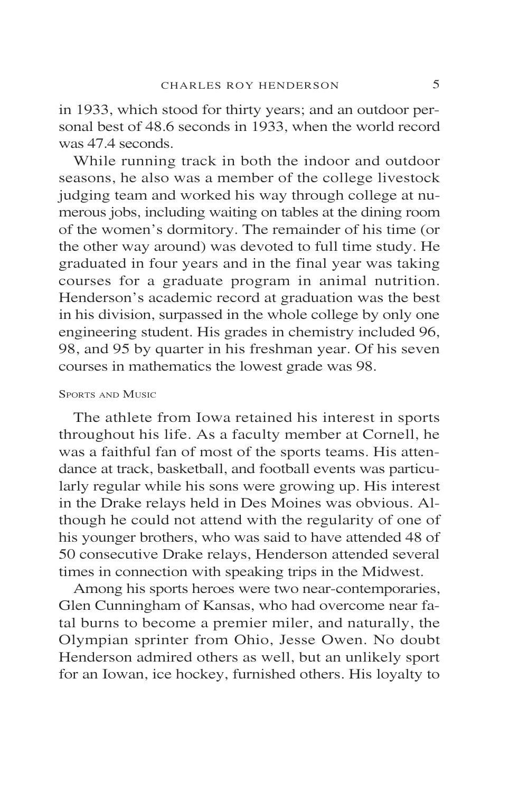in 1933, which stood for thirty years; and an outdoor personal best of 48.6 seconds in 1933, when the world record was 47.4 seconds.

While running track in both the indoor and outdoor seasons, he also was a member of the college livestock judging team and worked his way through college at numerous jobs, including waiting on tables at the dining room of the women's dormitory. The remainder of his time (or the other way around) was devoted to full time study. He graduated in four years and in the final year was taking courses for a graduate program in animal nutrition. Henderson's academic record at graduation was the best in his division, surpassed in the whole college by only one engineering student. His grades in chemistry included 96, 98, and 95 by quarter in his freshman year. Of his seven courses in mathematics the lowest grade was 98.

### SPORTS AND MUSIC

The athlete from Iowa retained his interest in sports throughout his life. As a faculty member at Cornell, he was a faithful fan of most of the sports teams. His attendance at track, basketball, and football events was particularly regular while his sons were growing up. His interest in the Drake relays held in Des Moines was obvious. Although he could not attend with the regularity of one of his younger brothers, who was said to have attended 48 of 50 consecutive Drake relays, Henderson attended several times in connection with speaking trips in the Midwest.

Among his sports heroes were two near-contemporaries, Glen Cunningham of Kansas, who had overcome near fatal burns to become a premier miler, and naturally, the Olympian sprinter from Ohio, Jesse Owen. No doubt Henderson admired others as well, but an unlikely sport for an Iowan, ice hockey, furnished others. His loyalty to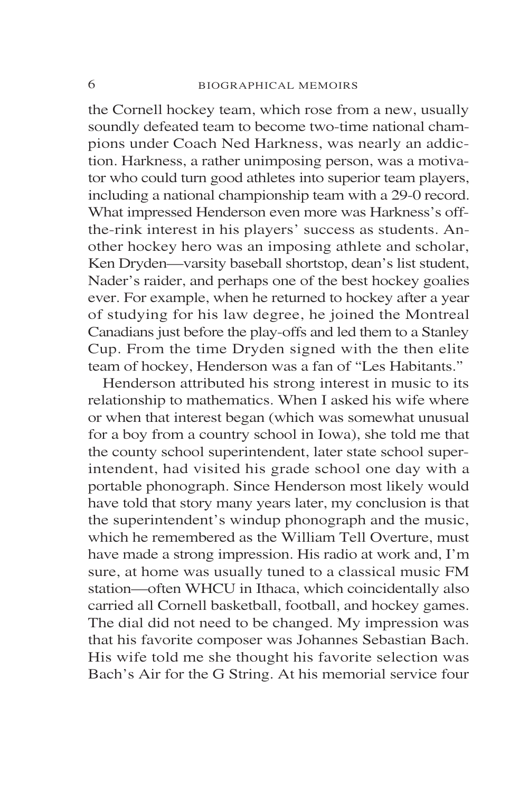the Cornell hockey team, which rose from a new, usually soundly defeated team to become two-time national champions under Coach Ned Harkness, was nearly an addiction. Harkness, a rather unimposing person, was a motivator who could turn good athletes into superior team players, including a national championship team with a 29-0 record. What impressed Henderson even more was Harkness's offthe-rink interest in his players' success as students. Another hockey hero was an imposing athlete and scholar, Ken Dryden—varsity baseball shortstop, dean's list student, Nader's raider, and perhaps one of the best hockey goalies ever. For example, when he returned to hockey after a year of studying for his law degree, he joined the Montreal Canadians just before the play-offs and led them to a Stanley Cup. From the time Dryden signed with the then elite team of hockey, Henderson was a fan of "Les Habitants."

Henderson attributed his strong interest in music to its relationship to mathematics. When I asked his wife where or when that interest began (which was somewhat unusual for a boy from a country school in Iowa), she told me that the county school superintendent, later state school superintendent, had visited his grade school one day with a portable phonograph. Since Henderson most likely would have told that story many years later, my conclusion is that the superintendent's windup phonograph and the music, which he remembered as the William Tell Overture, must have made a strong impression. His radio at work and, I'm sure, at home was usually tuned to a classical music FM station—often WHCU in Ithaca, which coincidentally also carried all Cornell basketball, football, and hockey games. The dial did not need to be changed. My impression was that his favorite composer was Johannes Sebastian Bach. His wife told me she thought his favorite selection was Bach's Air for the G String. At his memorial service four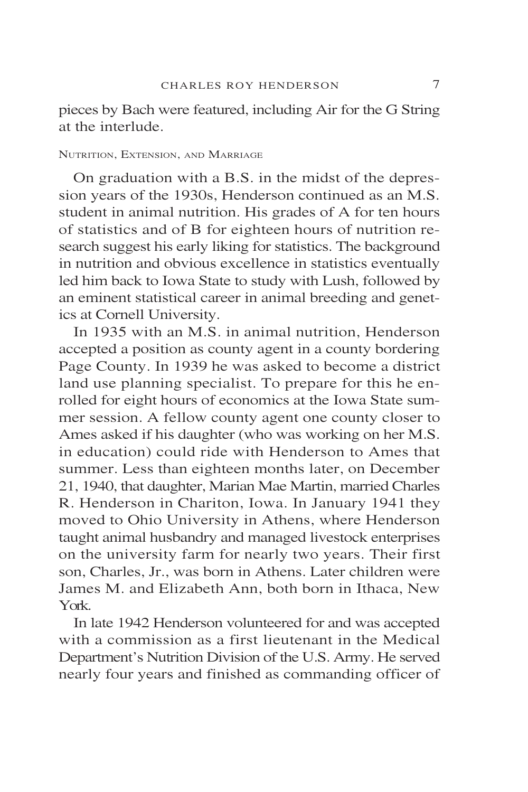pieces by Bach were featured, including Air for the G String at the interlude.

### NUTRITION, EXTENSION, AND MARRIAGE

On graduation with a B.S. in the midst of the depression years of the 1930s, Henderson continued as an M.S. student in animal nutrition. His grades of A for ten hours of statistics and of B for eighteen hours of nutrition research suggest his early liking for statistics. The background in nutrition and obvious excellence in statistics eventually led him back to Iowa State to study with Lush, followed by an eminent statistical career in animal breeding and genetics at Cornell University.

In 1935 with an M.S. in animal nutrition, Henderson accepted a position as county agent in a county bordering Page County. In 1939 he was asked to become a district land use planning specialist. To prepare for this he enrolled for eight hours of economics at the Iowa State summer session. A fellow county agent one county closer to Ames asked if his daughter (who was working on her M.S. in education) could ride with Henderson to Ames that summer. Less than eighteen months later, on December 21, 1940, that daughter, Marian Mae Martin, married Charles R. Henderson in Chariton, Iowa. In January 1941 they moved to Ohio University in Athens, where Henderson taught animal husbandry and managed livestock enterprises on the university farm for nearly two years. Their first son, Charles, Jr., was born in Athens. Later children were James M. and Elizabeth Ann, both born in Ithaca, New York.

In late 1942 Henderson volunteered for and was accepted with a commission as a first lieutenant in the Medical Department's Nutrition Division of the U.S. Army. He served nearly four years and finished as commanding officer of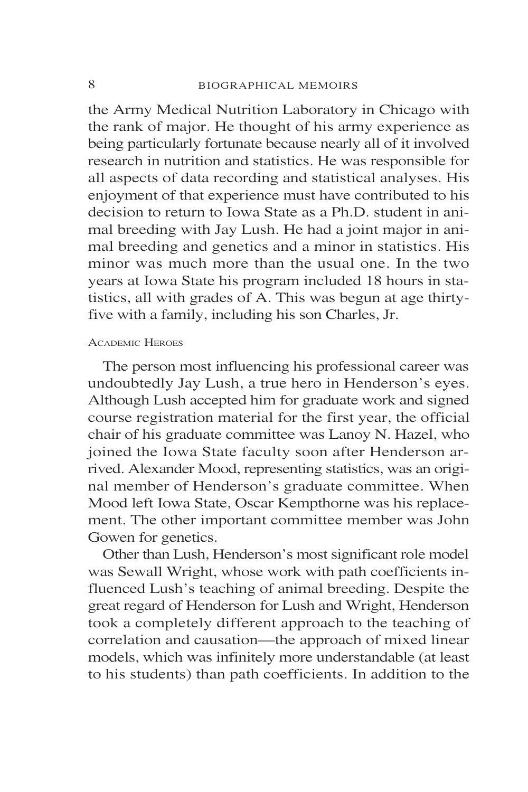the Army Medical Nutrition Laboratory in Chicago with the rank of major. He thought of his army experience as being particularly fortunate because nearly all of it involved research in nutrition and statistics. He was responsible for all aspects of data recording and statistical analyses. His enjoyment of that experience must have contributed to his decision to return to Iowa State as a Ph.D. student in animal breeding with Jay Lush. He had a joint major in animal breeding and genetics and a minor in statistics. His minor was much more than the usual one. In the two years at Iowa State his program included 18 hours in statistics, all with grades of A. This was begun at age thirtyfive with a family, including his son Charles, Jr.

#### ACADEMIC HEROES

The person most influencing his professional career was undoubtedly Jay Lush, a true hero in Henderson's eyes. Although Lush accepted him for graduate work and signed course registration material for the first year, the official chair of his graduate committee was Lanoy N. Hazel, who joined the Iowa State faculty soon after Henderson arrived. Alexander Mood, representing statistics, was an original member of Henderson's graduate committee. When Mood left Iowa State, Oscar Kempthorne was his replacement. The other important committee member was John Gowen for genetics.

Other than Lush, Henderson's most significant role model was Sewall Wright, whose work with path coefficients influenced Lush's teaching of animal breeding. Despite the great regard of Henderson for Lush and Wright, Henderson took a completely different approach to the teaching of correlation and causation—the approach of mixed linear models, which was infinitely more understandable (at least to his students) than path coefficients. In addition to the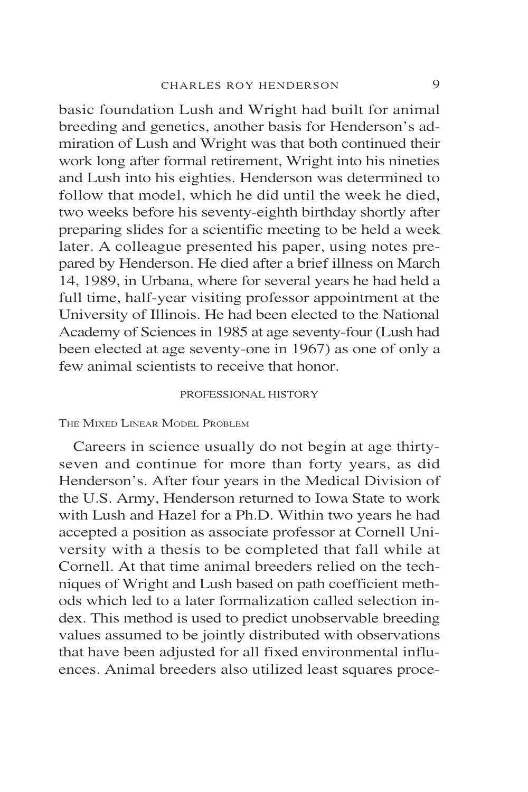basic foundation Lush and Wright had built for animal breeding and genetics, another basis for Henderson's admiration of Lush and Wright was that both continued their work long after formal retirement, Wright into his nineties and Lush into his eighties. Henderson was determined to follow that model, which he did until the week he died, two weeks before his seventy-eighth birthday shortly after preparing slides for a scientific meeting to be held a week later. A colleague presented his paper, using notes prepared by Henderson. He died after a brief illness on March 14, 1989, in Urbana, where for several years he had held a full time, half-year visiting professor appointment at the University of Illinois. He had been elected to the National Academy of Sciences in 1985 at age seventy-four (Lush had been elected at age seventy-one in 1967) as one of only a few animal scientists to receive that honor.

### PROFESSIONAL HISTORY

### THE MIXED LINEAR MODEL PROBLEM

Careers in science usually do not begin at age thirtyseven and continue for more than forty years, as did Henderson's. After four years in the Medical Division of the U.S. Army, Henderson returned to Iowa State to work with Lush and Hazel for a Ph.D. Within two years he had accepted a position as associate professor at Cornell University with a thesis to be completed that fall while at Cornell. At that time animal breeders relied on the techniques of Wright and Lush based on path coefficient methods which led to a later formalization called selection index. This method is used to predict unobservable breeding values assumed to be jointly distributed with observations that have been adjusted for all fixed environmental influences. Animal breeders also utilized least squares proce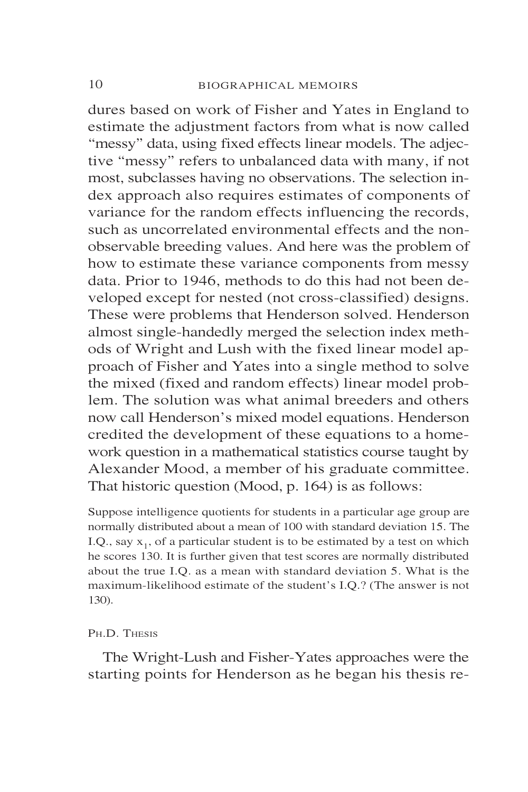dures based on work of Fisher and Yates in England to estimate the adjustment factors from what is now called "messy" data, using fixed effects linear models. The adjective "messy" refers to unbalanced data with many, if not most, subclasses having no observations. The selection index approach also requires estimates of components of variance for the random effects influencing the records, such as uncorrelated environmental effects and the nonobservable breeding values. And here was the problem of how to estimate these variance components from messy data. Prior to 1946, methods to do this had not been developed except for nested (not cross-classified) designs. These were problems that Henderson solved. Henderson almost single-handedly merged the selection index methods of Wright and Lush with the fixed linear model approach of Fisher and Yates into a single method to solve the mixed (fixed and random effects) linear model problem. The solution was what animal breeders and others now call Henderson's mixed model equations. Henderson credited the development of these equations to a homework question in a mathematical statistics course taught by Alexander Mood, a member of his graduate committee. That historic question (Mood, p. 164) is as follows:

Suppose intelligence quotients for students in a particular age group are normally distributed about a mean of 100 with standard deviation 15. The I.Q., say  $x_1$ , of a particular student is to be estimated by a test on which he scores 130. It is further given that test scores are normally distributed about the true I.Q. as a mean with standard deviation 5. What is the maximum-likelihood estimate of the student's I.Q.? (The answer is not 130).

### PH.D. THESIS

The Wright-Lush and Fisher-Yates approaches were the starting points for Henderson as he began his thesis re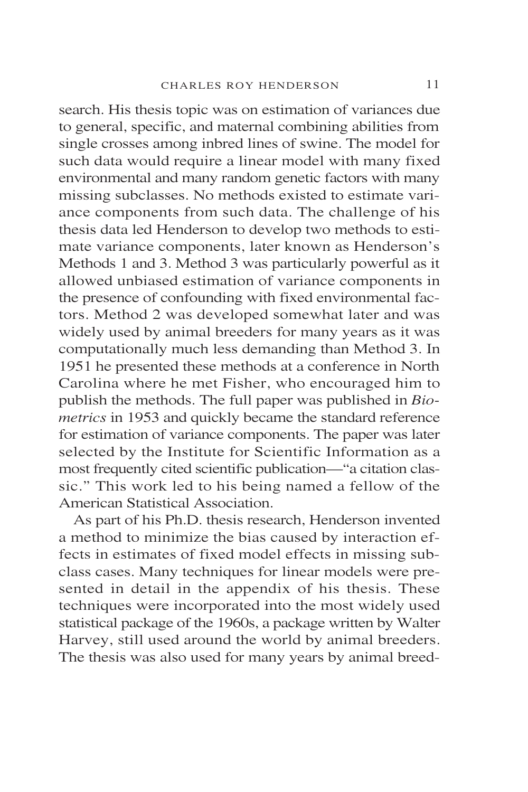search. His thesis topic was on estimation of variances due to general, specific, and maternal combining abilities from single crosses among inbred lines of swine. The model for such data would require a linear model with many fixed environmental and many random genetic factors with many missing subclasses. No methods existed to estimate variance components from such data. The challenge of his thesis data led Henderson to develop two methods to estimate variance components, later known as Henderson's Methods 1 and 3. Method 3 was particularly powerful as it allowed unbiased estimation of variance components in the presence of confounding with fixed environmental factors. Method 2 was developed somewhat later and was widely used by animal breeders for many years as it was computationally much less demanding than Method 3. In 1951 he presented these methods at a conference in North Carolina where he met Fisher, who encouraged him to publish the methods. The full paper was published in *Biometrics* in 1953 and quickly became the standard reference for estimation of variance components. The paper was later selected by the Institute for Scientific Information as a most frequently cited scientific publication—"a citation classic." This work led to his being named a fellow of the American Statistical Association.

As part of his Ph.D. thesis research, Henderson invented a method to minimize the bias caused by interaction effects in estimates of fixed model effects in missing subclass cases. Many techniques for linear models were presented in detail in the appendix of his thesis. These techniques were incorporated into the most widely used statistical package of the 1960s, a package written by Walter Harvey, still used around the world by animal breeders. The thesis was also used for many years by animal breed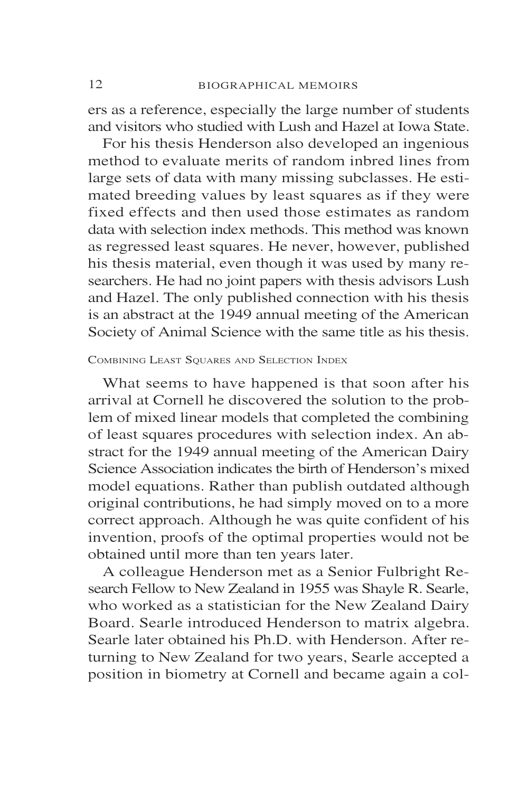ers as a reference, especially the large number of students and visitors who studied with Lush and Hazel at Iowa State.

For his thesis Henderson also developed an ingenious method to evaluate merits of random inbred lines from large sets of data with many missing subclasses. He estimated breeding values by least squares as if they were fixed effects and then used those estimates as random data with selection index methods. This method was known as regressed least squares. He never, however, published his thesis material, even though it was used by many researchers. He had no joint papers with thesis advisors Lush and Hazel. The only published connection with his thesis is an abstract at the 1949 annual meeting of the American Society of Animal Science with the same title as his thesis.

### COMBINING LEAST SQUARES AND SELECTION INDEX

What seems to have happened is that soon after his arrival at Cornell he discovered the solution to the problem of mixed linear models that completed the combining of least squares procedures with selection index. An abstract for the 1949 annual meeting of the American Dairy Science Association indicates the birth of Henderson's mixed model equations. Rather than publish outdated although original contributions, he had simply moved on to a more correct approach. Although he was quite confident of his invention, proofs of the optimal properties would not be obtained until more than ten years later.

A colleague Henderson met as a Senior Fulbright Research Fellow to New Zealand in 1955 was Shayle R. Searle, who worked as a statistician for the New Zealand Dairy Board. Searle introduced Henderson to matrix algebra. Searle later obtained his Ph.D. with Henderson. After returning to New Zealand for two years, Searle accepted a position in biometry at Cornell and became again a col-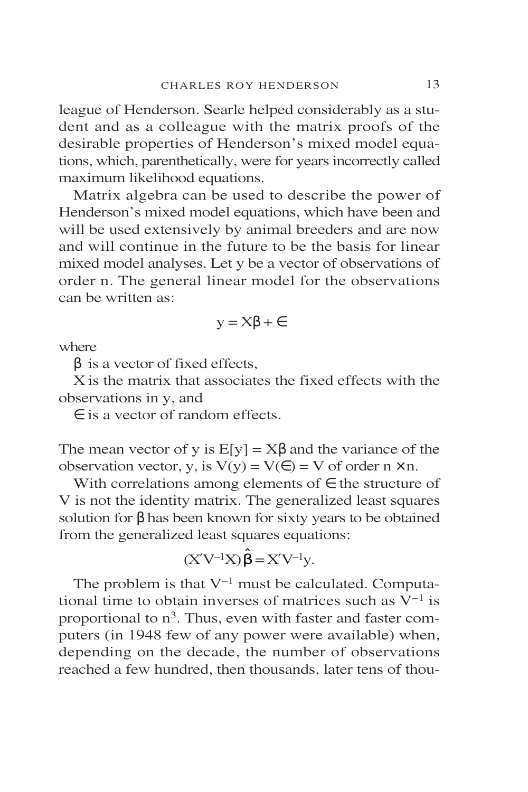league of Henderson. Searle helped considerably as a student and as a colleague with the matrix proofs of the desirable properties of Henderson's mixed model equations, which, parenthetically, were for years incorrectly called maximum likelihood equations.

Matrix algebra can be used to describe the power of Henderson's mixed model equations, which have been and will be used extensively by animal breeders and are now and will continue in the future to be the basis for linear mixed model analyses. Let y be a vector of observations of order n. The general linear model for the observations can be written as:

$$
y = X\beta + \epsilon
$$

where

 $β$  is a vector of fixed effects,

X is the matrix that associates the fixed effects with the observations in y, and

∈ is a vector of random effects.

The mean vector of y is  $E[y] = X\beta$  and the variance of the observation vector, y, is  $V(y) = V(\epsilon) = V$  of order  $n \times n$ .

With correlations among elements of  $\epsilon$  the structure of V is not the identity matrix. The generalized least squares solution for  $\beta$  has been known for sixty years to be obtained from the generalized least squares equations:

$$
(X'V^{-1}X)\hat{\beta} = X'V^{-1}y.
$$

The problem is that  $V^{-1}$  must be calculated. Computational time to obtain inverses of matrices such as  $V^{-1}$  is proportional to n3. Thus, even with faster and faster computers (in 1948 few of any power were available) when, depending on the decade, the number of observations reached a few hundred, then thousands, later tens of thou-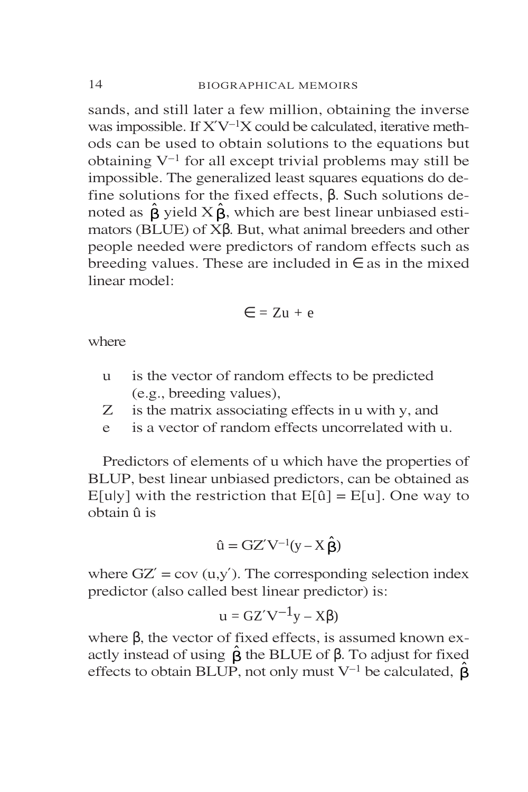sands, and still later a few million, obtaining the inverse was impossible. If  $X'V^{-1}X$  could be calculated, iterative methods can be used to obtain solutions to the equations but obtaining  $V^{-1}$  for all except trivial problems may still be impossible. The generalized least squares equations do define solutions for the fixed effects, β. Such solutions denoted as  $\hat{\beta}$  yield  $X\hat{\beta}$ , which are best linear unbiased estimators (BLUE) of Xβ. But, what animal breeders and other people needed were predictors of random effects such as breeding values. These are included in  $\epsilon$  as in the mixed linear model:

$$
\in = Zu + e
$$

where

- u is the vector of random effects to be predicted (e.g., breeding values),
- Z is the matrix associating effects in u with y, and
- e is a vector of random effects uncorrelated with u.

Predictors of elements of u which have the properties of BLUP, best linear unbiased predictors, can be obtained as E[u|y] with the restriction that  $E[\hat{u}] = E[u]$ . One way to obtain û is

$$
\hat{u} = GZ'V^{-1}(y - X\,\hat{\beta})
$$

where  $GZ' = cov(u,y')$ . The corresponding selection index predictor (also called best linear predictor) is:

$$
u = GZ'V^{-1}y - X\beta)
$$

where β, the vector of fixed effects, is assumed known exactly instead of using  $\hat{\beta}$  the BLUE of  $\beta$ . To adjust for fixed effects to obtain BLUP, not only must V<sup>-1</sup> be calculated,  $\hat{\beta}$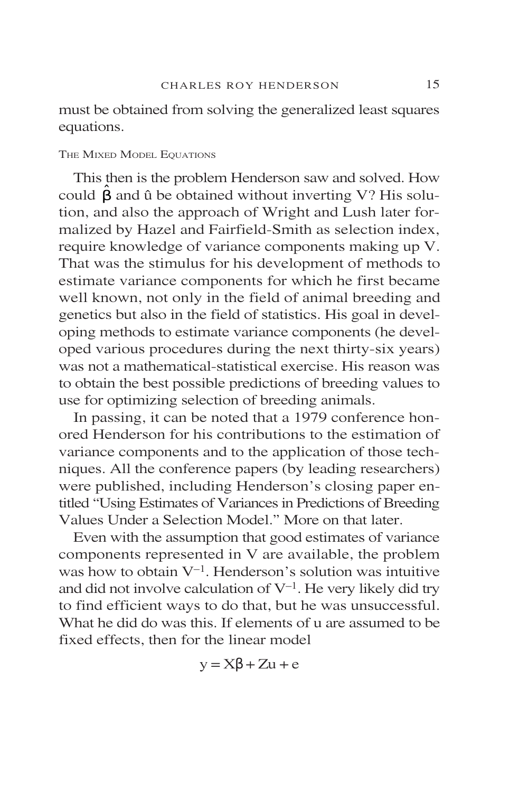must be obtained from solving the generalized least squares equations.

### THE MIXED MODEL EQUATIONS

This then is the problem Henderson saw and solved. How could  $\hat{\beta}$  and û be obtained without inverting V? His solution, and also the approach of Wright and Lush later formalized by Hazel and Fairfield-Smith as selection index, require knowledge of variance components making up V. That was the stimulus for his development of methods to estimate variance components for which he first became well known, not only in the field of animal breeding and genetics but also in the field of statistics. His goal in developing methods to estimate variance components (he developed various procedures during the next thirty-six years) was not a mathematical-statistical exercise. His reason was to obtain the best possible predictions of breeding values to use for optimizing selection of breeding animals.

In passing, it can be noted that a 1979 conference honored Henderson for his contributions to the estimation of variance components and to the application of those techniques. All the conference papers (by leading researchers) were published, including Henderson's closing paper entitled "Using Estimates of Variances in Predictions of Breeding Values Under a Selection Model." More on that later.

Even with the assumption that good estimates of variance components represented in V are available, the problem was how to obtain  $V^{-1}$ . Henderson's solution was intuitive and did not involve calculation of  $V^{-1}$ . He very likely did try to find efficient ways to do that, but he was unsuccessful. What he did do was this. If elements of u are assumed to be fixed effects, then for the linear model

$$
y = X\beta + Zu + e
$$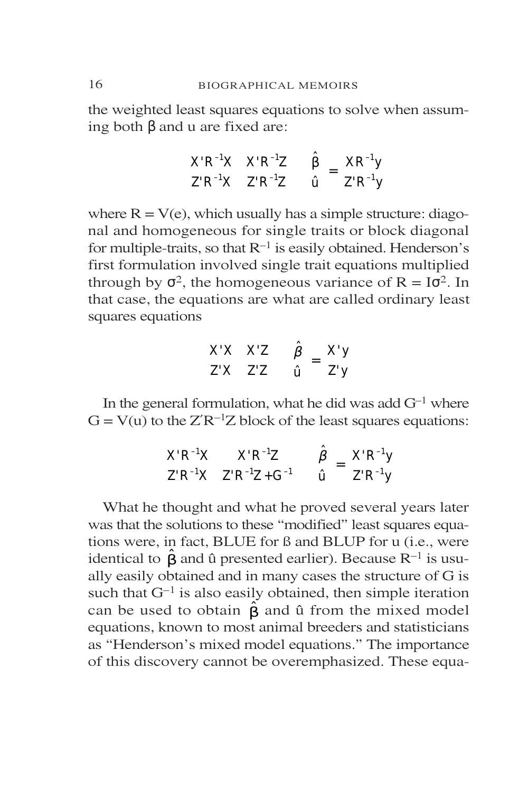the weighted least squares equations to solve when assuming both β and u are fixed are:

$$
\begin{bmatrix} X'R^{-1}X & X'R^{-1}Z \\ Z'R^{-1}X & Z'R^{-1}Z \end{bmatrix} \begin{bmatrix} \hat{\beta} \\ \hat{u} \end{bmatrix} = \begin{bmatrix} XR^{-1}y \\ Z'R^{-1}y \end{bmatrix}
$$

where  $R = V(e)$ , which usually has a simple structure: diagonal and homogeneous for single traits or block diagonal for multiple-traits, so that  $R^{-1}$  is easily obtained. Henderson's first formulation involved single trait equations multiplied through by  $\sigma^2$ , the homogeneous variance of  $R = I\sigma^2$ . In that case, the equations are what are called ordinary least squares equations

$$
\begin{bmatrix} X'X & X'Z \\ Z'X & Z'Z \end{bmatrix} \begin{bmatrix} \hat{\beta} \\ \hat{\mathbf{u}} \end{bmatrix} = \begin{bmatrix} X'y \\ Z'y \end{bmatrix}
$$

In the general formulation, what he did was add  $G^{-1}$  where  $G = V(u)$  to the  $Z'R^{-1}Z$  block of the least squares equations:

$$
\begin{bmatrix} X'R^{-1}X & X'R^{-1}Z \\ Z'R^{-1}X & Z'R^{-1}Z + G^{-1} \end{bmatrix} \begin{bmatrix} \hat{\beta} \\ \hat{u} \end{bmatrix} = \begin{bmatrix} X'R^{-1}y \\ Z'R^{-1}y \end{bmatrix}
$$

What he thought and what he proved several years later was that the solutions to these "modified" least squares equations were, in fact, BLUE for ß and BLUP for u (i.e., were identical to  $\hat{\beta}$  and û presented earlier). Because R<sup>-1</sup> is usually easily obtained and in many cases the structure of G is such that  $G^{-1}$  is also easily obtained, then simple iteration can be used to obtain  $\hat{\beta}$  and û from the mixed model equations, known to most animal breeders and statisticians as "Henderson's mixed model equations." The importance of this discovery cannot be overemphasized. These equa-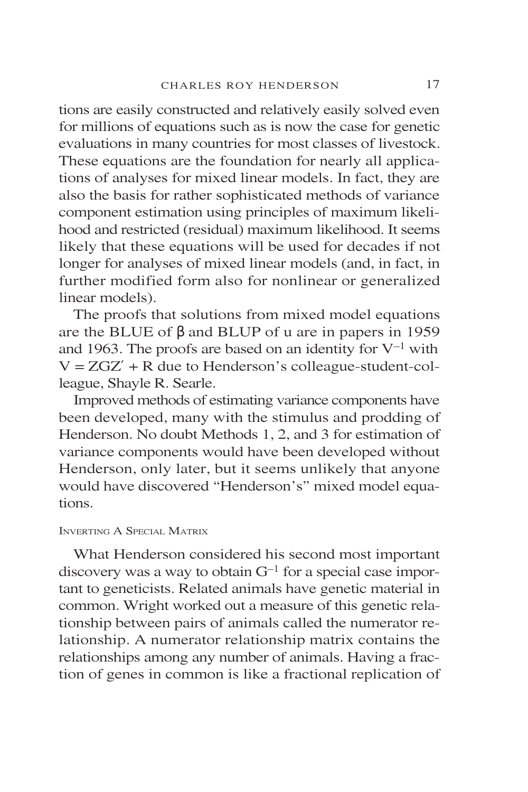tions are easily constructed and relatively easily solved even for millions of equations such as is now the case for genetic evaluations in many countries for most classes of livestock. These equations are the foundation for nearly all applications of analyses for mixed linear models. In fact, they are also the basis for rather sophisticated methods of variance component estimation using principles of maximum likelihood and restricted (residual) maximum likelihood. It seems likely that these equations will be used for decades if not longer for analyses of mixed linear models (and, in fact, in further modified form also for nonlinear or generalized linear models).

The proofs that solutions from mixed model equations are the BLUE of β and BLUP of u are in papers in 1959 and 1963. The proofs are based on an identity for  $V^{-1}$  with  $V = ZGZ' + R$  due to Henderson's colleague-student-colleague, Shayle R. Searle.

Improved methods of estimating variance components have been developed, many with the stimulus and prodding of Henderson. No doubt Methods 1, 2, and 3 for estimation of variance components would have been developed without Henderson, only later, but it seems unlikely that anyone would have discovered "Henderson's" mixed model equations.

### INVERTING A SPECIAL MATRIX

What Henderson considered his second most important discovery was a way to obtain  $G^{-1}$  for a special case important to geneticists. Related animals have genetic material in common. Wright worked out a measure of this genetic relationship between pairs of animals called the numerator relationship. A numerator relationship matrix contains the relationships among any number of animals. Having a fraction of genes in common is like a fractional replication of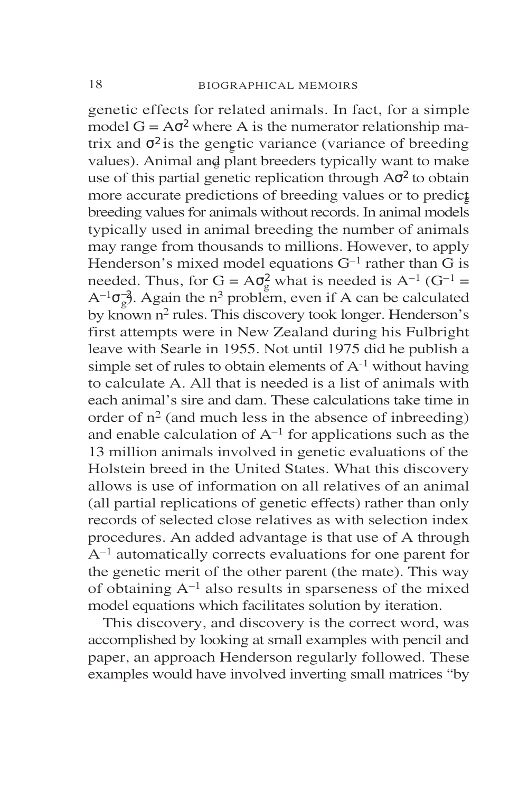genetic effects for related animals. In fact, for a simple model  $G = A\sigma^2$  where A is the numerator relationship matrix and  $\sigma^2$  is the genetic variance (variance of breeding values). Animal and plant breeders typically want to make use of this partial genetic replication through  $A\sigma^2$  to obtain more accurate predictions of breeding values or to predict breeding values for animals without records. In animal models typically used in animal breeding the number of animals may range from thousands to millions. However, to apply Henderson's mixed model equations  $G^{-1}$  rather than G is needed. Thus, for  $G = A\sigma_g^2$  what is needed is  $A^{-1}$  ( $G^{-1}$  =  $A^{-1}\sigma_g^2$ . Again the n<sup>3</sup> problem, even if A can be calculated by known n<sup>2</sup> rules. This discovery took longer. Henderson's first attempts were in New Zealand during his Fulbright leave with Searle in 1955. Not until 1975 did he publish a simple set of rules to obtain elements of  $A^{-1}$  without having to calculate A. All that is needed is a list of animals with each animal's sire and dam. These calculations take time in order of  $n^2$  (and much less in the absence of inbreeding) and enable calculation of  $A^{-1}$  for applications such as the 13 million animals involved in genetic evaluations of the Holstein breed in the United States. What this discovery allows is use of information on all relatives of an animal (all partial replications of genetic effects) rather than only records of selected close relatives as with selection index procedures. An added advantage is that use of A through A–1 automatically corrects evaluations for one parent for the genetic merit of the other parent (the mate). This way of obtaining  $A^{-1}$  also results in sparseness of the mixed model equations which facilitates solution by iteration.

This discovery, and discovery is the correct word, was accomplished by looking at small examples with pencil and paper, an approach Henderson regularly followed. These examples would have involved inverting small matrices "by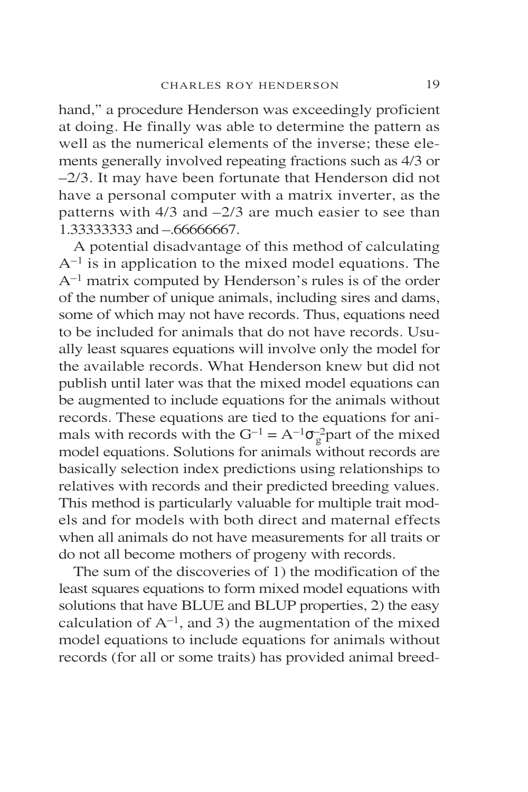hand," a procedure Henderson was exceedingly proficient at doing. He finally was able to determine the pattern as well as the numerical elements of the inverse; these elements generally involved repeating fractions such as 4/3 or –2/3. It may have been fortunate that Henderson did not have a personal computer with a matrix inverter, as the patterns with  $4/3$  and  $-2/3$  are much easier to see than 1.33333333 and – 66666667.

A potential disadvantage of this method of calculating  $A^{-1}$  is in application to the mixed model equations. The A–1 matrix computed by Henderson's rules is of the order of the number of unique animals, including sires and dams, some of which may not have records. Thus, equations need to be included for animals that do not have records. Usually least squares equations will involve only the model for the available records. What Henderson knew but did not publish until later was that the mixed model equations can be augmented to include equations for the animals without records. These equations are tied to the equations for animals with records with the  $G^{-1} = A^{-1} \sigma_g^2$  part of the mixed model equations. Solutions for animals without records are basically selection index predictions using relationships to relatives with records and their predicted breeding values. This method is particularly valuable for multiple trait models and for models with both direct and maternal effects when all animals do not have measurements for all traits or do not all become mothers of progeny with records.

The sum of the discoveries of 1) the modification of the least squares equations to form mixed model equations with solutions that have BLUE and BLUP properties, 2) the easy calculation of  $A^{-1}$ , and 3) the augmentation of the mixed model equations to include equations for animals without records (for all or some traits) has provided animal breed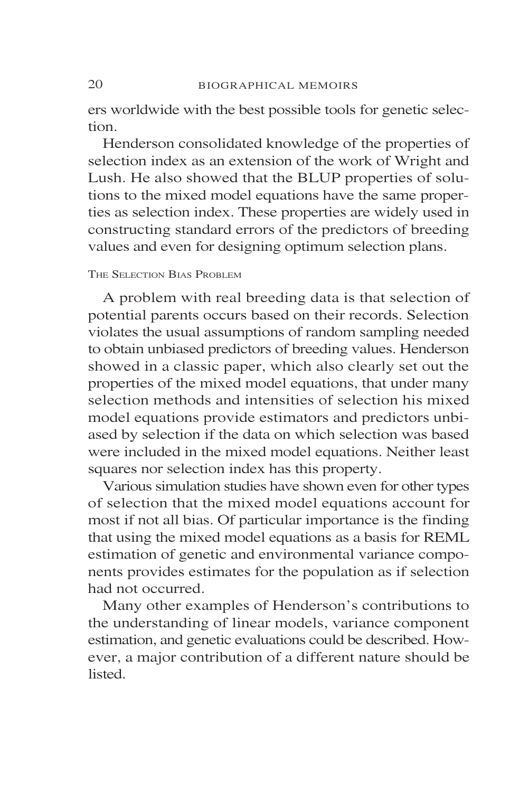ers worldwide with the best possible tools for genetic selection.

Henderson consolidated knowledge of the properties of selection index as an extension of the work of Wright and Lush. He also showed that the BLUP properties of solutions to the mixed model equations have the same properties as selection index. These properties are widely used in constructing standard errors of the predictors of breeding values and even for designing optimum selection plans.

### THE SELECTION BIAS PROBLEM

A problem with real breeding data is that selection of potential parents occurs based on their records. Selection violates the usual assumptions of random sampling needed to obtain unbiased predictors of breeding values. Henderson showed in a classic paper, which also clearly set out the properties of the mixed model equations, that under many selection methods and intensities of selection his mixed model equations provide estimators and predictors unbiased by selection if the data on which selection was based were included in the mixed model equations. Neither least squares nor selection index has this property.

Various simulation studies have shown even for other types of selection that the mixed model equations account for most if not all bias. Of particular importance is the finding that using the mixed model equations as a basis for REML estimation of genetic and environmental variance components provides estimates for the population as if selection had not occurred.

Many other examples of Henderson's contributions to the understanding of linear models, variance component estimation, and genetic evaluations could be described. However, a major contribution of a different nature should be **listed**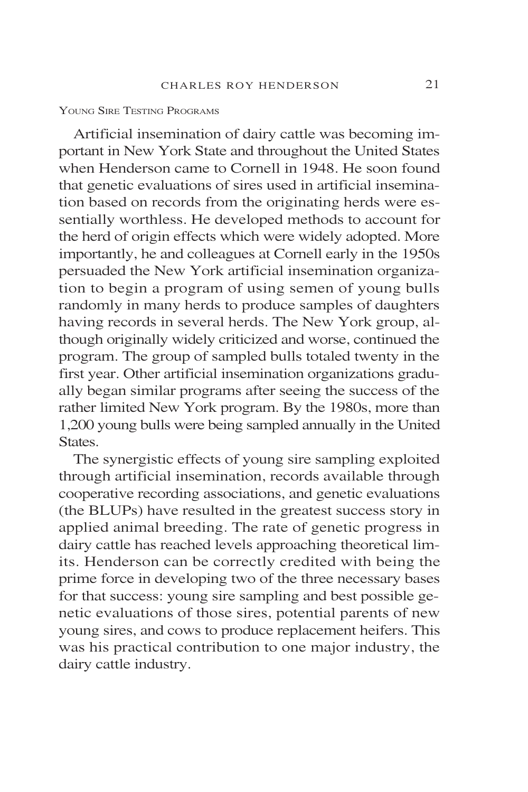#### YOUNG SIRE TESTING PROGRAMS

Artificial insemination of dairy cattle was becoming important in New York State and throughout the United States when Henderson came to Cornell in 1948. He soon found that genetic evaluations of sires used in artificial insemination based on records from the originating herds were essentially worthless. He developed methods to account for the herd of origin effects which were widely adopted. More importantly, he and colleagues at Cornell early in the 1950s persuaded the New York artificial insemination organization to begin a program of using semen of young bulls randomly in many herds to produce samples of daughters having records in several herds. The New York group, although originally widely criticized and worse, continued the program. The group of sampled bulls totaled twenty in the first year. Other artificial insemination organizations gradually began similar programs after seeing the success of the rather limited New York program. By the 1980s, more than 1,200 young bulls were being sampled annually in the United States.

The synergistic effects of young sire sampling exploited through artificial insemination, records available through cooperative recording associations, and genetic evaluations (the BLUPs) have resulted in the greatest success story in applied animal breeding. The rate of genetic progress in dairy cattle has reached levels approaching theoretical limits. Henderson can be correctly credited with being the prime force in developing two of the three necessary bases for that success: young sire sampling and best possible genetic evaluations of those sires, potential parents of new young sires, and cows to produce replacement heifers. This was his practical contribution to one major industry, the dairy cattle industry.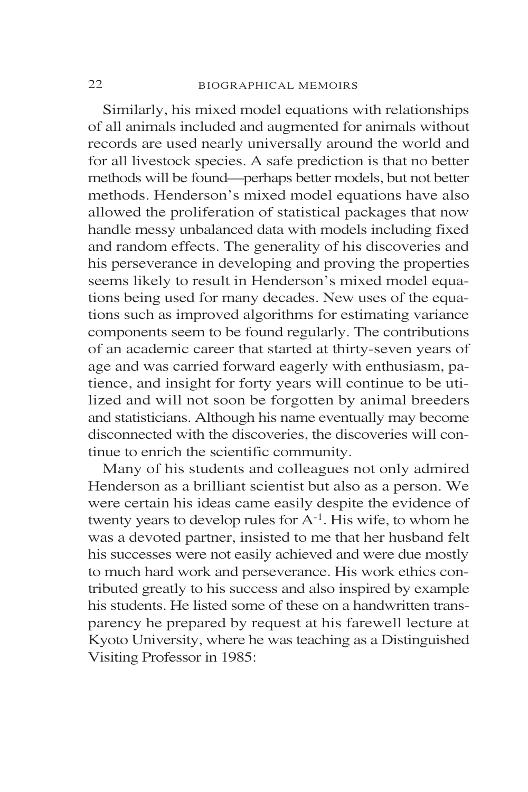Similarly, his mixed model equations with relationships of all animals included and augmented for animals without records are used nearly universally around the world and for all livestock species. A safe prediction is that no better methods will be found—perhaps better models, but not better methods. Henderson's mixed model equations have also allowed the proliferation of statistical packages that now handle messy unbalanced data with models including fixed and random effects. The generality of his discoveries and his perseverance in developing and proving the properties seems likely to result in Henderson's mixed model equations being used for many decades. New uses of the equations such as improved algorithms for estimating variance components seem to be found regularly. The contributions of an academic career that started at thirty-seven years of age and was carried forward eagerly with enthusiasm, patience, and insight for forty years will continue to be utilized and will not soon be forgotten by animal breeders and statisticians. Although his name eventually may become disconnected with the discoveries, the discoveries will continue to enrich the scientific community.

Many of his students and colleagues not only admired Henderson as a brilliant scientist but also as a person. We were certain his ideas came easily despite the evidence of twenty years to develop rules for  $A^{-1}$ . His wife, to whom he was a devoted partner, insisted to me that her husband felt his successes were not easily achieved and were due mostly to much hard work and perseverance. His work ethics contributed greatly to his success and also inspired by example his students. He listed some of these on a handwritten transparency he prepared by request at his farewell lecture at Kyoto University, where he was teaching as a Distinguished Visiting Professor in 1985: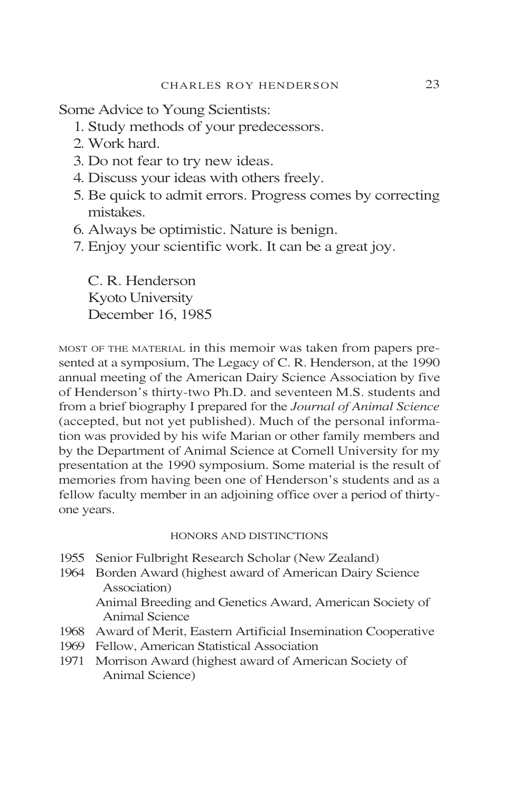Some Advice to Young Scientists:

- 1. Study methods of your predecessors.
- 2. Work hard.
- 3. Do not fear to try new ideas.
- 4. Discuss your ideas with others freely.
- 5. Be quick to admit errors. Progress comes by correcting mistakes.
- 6. Always be optimistic. Nature is benign.
- 7. Enjoy your scientific work. It can be a great joy.

C. R. Henderson Kyoto University December 16, 1985

MOST OF THE MATERIAL in this memoir was taken from papers presented at a symposium, The Legacy of C. R. Henderson, at the 1990 annual meeting of the American Dairy Science Association by five of Henderson's thirty-two Ph.D. and seventeen M.S. students and from a brief biography I prepared for the *Journal of Animal Science* (accepted, but not yet published). Much of the personal information was provided by his wife Marian or other family members and by the Department of Animal Science at Cornell University for my presentation at the 1990 symposium. Some material is the result of memories from having been one of Henderson's students and as a fellow faculty member in an adjoining office over a period of thirtyone years.

### HONORS AND DISTINCTIONS

- 1955 Senior Fulbright Research Scholar (New Zealand)
- 1964 Borden Award (highest award of American Dairy Science Association)

Animal Breeding and Genetics Award, American Society of Animal Science

- 1968 Award of Merit, Eastern Artificial Insemination Cooperative
- 1969 Fellow, American Statistical Association
- 1971 Morrison Award (highest award of American Society of Animal Science)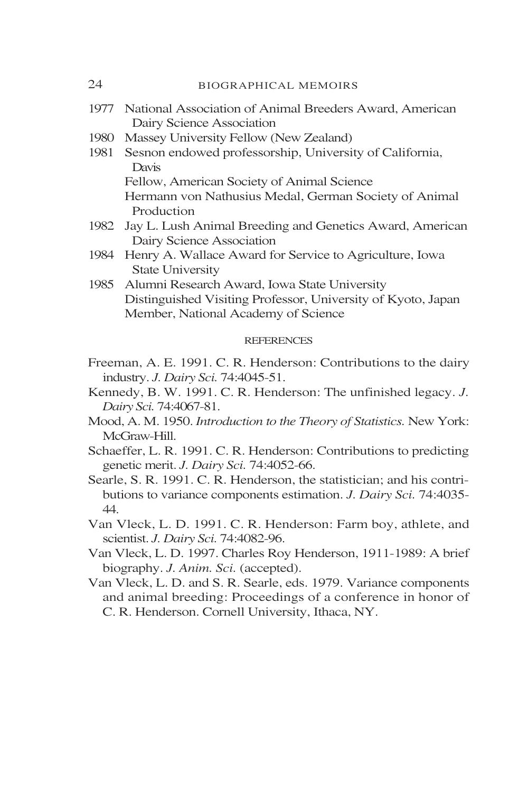| 24   | <b>BIOGRAPHICAL MEMOIRS</b>                                                                                                                                                           |
|------|---------------------------------------------------------------------------------------------------------------------------------------------------------------------------------------|
| 1977 | National Association of Animal Breeders Award, American<br>Dairy Science Association                                                                                                  |
| 1980 | Massey University Fellow (New Zealand)                                                                                                                                                |
| 1981 | Sesnon endowed professorship, University of California,<br>Davis                                                                                                                      |
|      | Fellow, American Society of Animal Science                                                                                                                                            |
|      | Hermann von Nathusius Medal, German Society of Animal<br>Production                                                                                                                   |
| 1982 | Jay L. Lush Animal Breeding and Genetics Award, American<br>Dairy Science Association                                                                                                 |
| 1984 | Henry A. Wallace Award for Service to Agriculture, Iowa<br><b>State University</b>                                                                                                    |
| 1985 | Alumni Research Award, Iowa State University                                                                                                                                          |
|      | Distinguished Visiting Professor, University of Kyoto, Japan                                                                                                                          |
|      | Member, National Academy of Science                                                                                                                                                   |
|      | <b>REFERENCES</b>                                                                                                                                                                     |
|      | Freeman, A. E. 1991. C. R. Henderson: Contributions to the dairy<br>industry. J. Dairy Sci. 74:4045-51.                                                                               |
|      | Kennedy, B. W. 1991. C. R. Henderson: The unfinished legacy. J.<br>Dairy Sci. 74:4067-81.                                                                                             |
|      | Mood, A. M. 1950. Introduction to the Theory of Statistics. New York:<br>McGraw-Hill.                                                                                                 |
|      | Schaeffer, L. R. 1991. C. R. Henderson: Contributions to predicting<br>genetic merit. J. Dairy Sci. 74:4052-66.                                                                       |
|      | Searle, S. R. 1991. C. R. Henderson, the statistician; and his contri-                                                                                                                |
| 44.  | butions to variance components estimation. J. Dairy Sci. 74:4035-                                                                                                                     |
|      | Van Vleck, L. D. 1991. C. R. Henderson: Farm boy, athlete, and<br>scientist. J. Dairy Sci. 74:4082-96.                                                                                |
|      | Van Vleck, L. D. 1997. Charles Roy Henderson, 1911-1989: A brief                                                                                                                      |
|      | biography. J. Anim. Sci. (accepted).                                                                                                                                                  |
|      | Van Vleck, L. D. and S. R. Searle, eds. 1979. Variance components<br>and animal breeding: Proceedings of a conference in honor of<br>C. R. Henderson. Cornell University, Ithaca, NY. |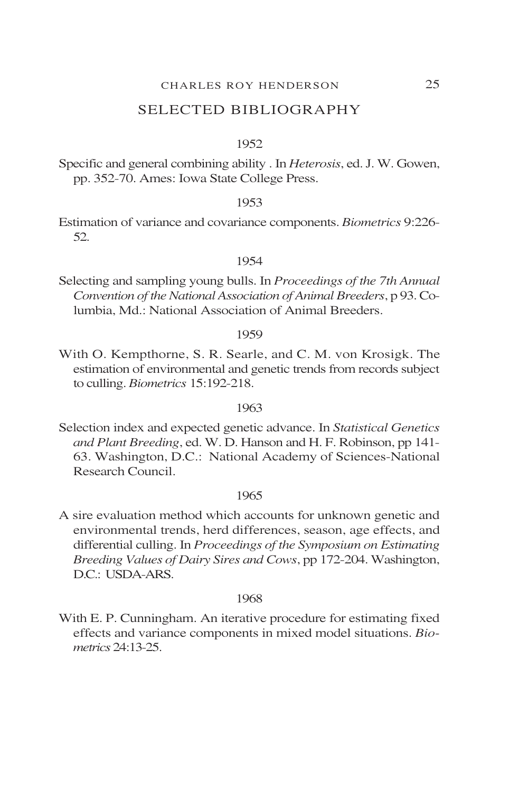### SELECTED BIBLIOGRAPHY

#### 1952

Specific and general combining ability . In *Heterosis*, ed. J. W. Gowen, pp. 352-70. Ames: Iowa State College Press.

#### 1953

Estimation of variance and covariance components. *Biometrics* 9:226- 52.

#### 1954

Selecting and sampling young bulls. In *Proceedings of the 7th Annual Convention of the National Association of Animal Breeders*, p 93. Columbia, Md.: National Association of Animal Breeders.

#### 1959

With O. Kempthorne, S. R. Searle, and C. M. von Krosigk. The estimation of environmental and genetic trends from records subject to culling. *Biometrics* 15:192-218.

#### 1963

Selection index and expected genetic advance. In *Statistical Genetics and Plant Breeding*, ed. W. D. Hanson and H. F. Robinson, pp 141- 63. Washington, D.C.: National Academy of Sciences-National Research Council.

#### 1965

A sire evaluation method which accounts for unknown genetic and environmental trends, herd differences, season, age effects, and differential culling. In *Proceedings of the Symposium on Estimating Breeding Values of Dairy Sires and Cows*, pp 172-204. Washington, D.C.: USDA-ARS.

### 1968

With E. P. Cunningham. An iterative procedure for estimating fixed effects and variance components in mixed model situations. *Biometrics* 24:13-25.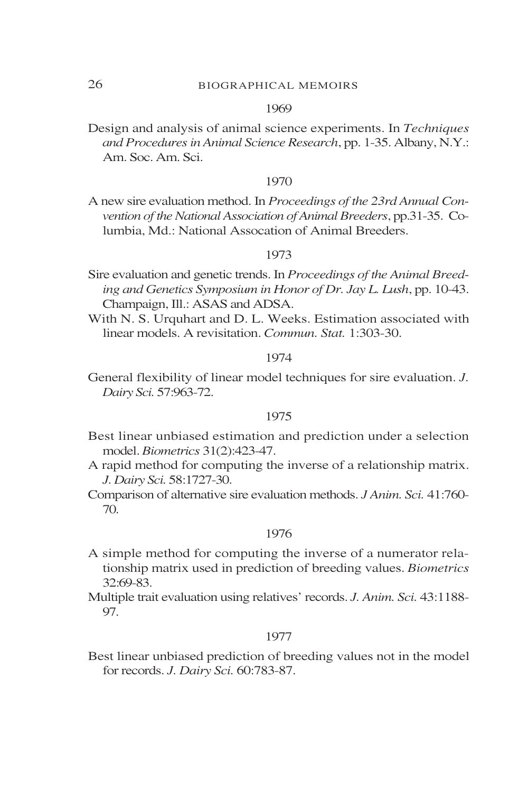### 1969

Design and analysis of animal science experiments. In *Techniques and Procedures in Animal Science Research*, pp. 1-35. Albany, N.Y.: Am. Soc. Am. Sci.

#### 1970

A new sire evaluation method. In *Proceedings of the 23rd Annual Convention of the National Association of Animal Breeders*, pp.31-35. Columbia, Md.: National Assocation of Animal Breeders.

### 1973

- Sire evaluation and genetic trends. In *Proceedings of the Animal Breeding and Genetics Symposium in Honor of Dr. Jay L. Lush*, pp. 10-43. Champaign, Ill.: ASAS and ADSA.
- With N. S. Urquhart and D. L. Weeks. Estimation associated with linear models. A revisitation. *Commun. Stat.* 1:303-30.

### 1974

General flexibility of linear model techniques for sire evaluation. *J. Dairy Sci.* 57:963-72.

### 1975

- Best linear unbiased estimation and prediction under a selection model. *Biometrics* 31(2):423-47.
- A rapid method for computing the inverse of a relationship matrix. *J. Dairy Sci.* 58:1727-30.
- Comparison of alternative sire evaluation methods. *J Anim. Sci.* 41:760- 70.

### 1976

- A simple method for computing the inverse of a numerator relationship matrix used in prediction of breeding values. *Biometrics* 32:69-83.
- Multiple trait evaluation using relatives' records. *J. Anim. Sci.* 43:1188- 97.

#### 1977

Best linear unbiased prediction of breeding values not in the model for records. *J. Dairy Sci.* 60:783-87.